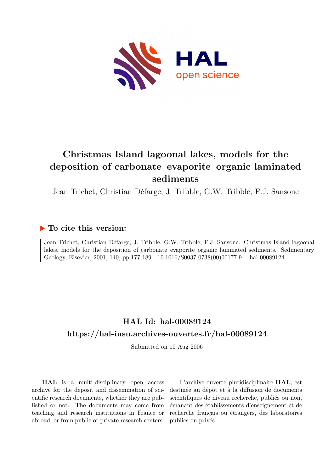

# **Christmas Island lagoonal lakes, models for the deposition of carbonate–evaporite–organic laminated sediments**

Jean Trichet, Christian Défarge, J. Tribble, G.W. Tribble, F.J. Sansone

#### **To cite this version:**

Jean Trichet, Christian Défarge, J. Tribble, G.W. Tribble, F.J. Sansone. Christmas Island lagoonal lakes, models for the deposition of carbonate–evaporite–organic laminated sediments. Sedimentary Geology, Elsevier, 2001, 140, pp.177-189.  $10.1016/S0037-0738(00)00177-9$ . hal-00089124

### **HAL Id: hal-00089124 <https://hal-insu.archives-ouvertes.fr/hal-00089124>**

Submitted on 10 Aug 2006

**HAL** is a multi-disciplinary open access archive for the deposit and dissemination of scientific research documents, whether they are published or not. The documents may come from teaching and research institutions in France or abroad, or from public or private research centers.

L'archive ouverte pluridisciplinaire **HAL**, est destinée au dépôt et à la diffusion de documents scientifiques de niveau recherche, publiés ou non, émanant des établissements d'enseignement et de recherche français ou étrangers, des laboratoires publics ou privés.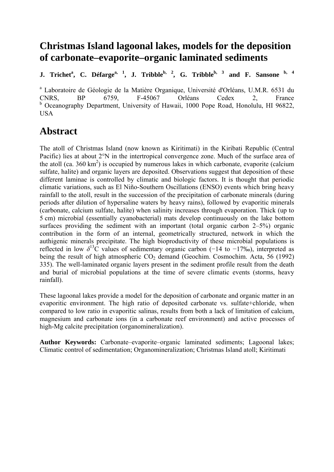## **Christmas Island lagoonal lakes, models for the deposition of carbonate–evaporite–organic laminated sediments**

**J.** Trichet<sup>a</sup>, C. Défarge<sup>a, 1</sup>, J. Tribble<sup>b, 2</sup>, G. Tribble<sup>b, 3</sup> and F. Sansone <sup>b, 4</sup>

a Laboratoire de Géologie de la Matière Organique, Université d'Orléans, U.M.R. 6531 du CNRS, BP 6759, F-45067 Orléans Cedex 2, France <sup>b</sup> Oceanography Department, University of Hawaii, 1000 Pope Road, Honolulu, HI 96822, USA

## **Abstract**

The atoll of Christmas Island (now known as Kiritimati) in the Kiribati Republic (Central Pacific) lies at about 2°N in the intertropical convergence zone. Much of the surface area of the atoll (ca.  $360 \text{ km}^2$ ) is occupied by numerous lakes in which carbonate, evaporite (calcium sulfate, halite) and organic layers are deposited. Observations suggest that deposition of these different laminae is controlled by climatic and biologic factors. It is thought that periodic climatic variations, such as El Niño-Southern Oscillations (ENSO) events which bring heavy rainfall to the atoll, result in the succession of the precipitation of carbonate minerals (during periods after dilution of hypersaline waters by heavy rains), followed by evaporitic minerals (carbonate, calcium sulfate, halite) when salinity increases through evaporation. Thick (up to 5 cm) microbial (essentially cyanobacterial) mats develop continuously on the lake bottom surfaces providing the sediment with an important (total organic carbon 2–5%) organic contribution in the form of an internal, geometrically structured, network in which the authigenic minerals precipitate. The high bioproductivity of these microbial populations is reflected in low  $\delta^{13}$ C values of sedimentary organic carbon (−14 to −17‰), interpreted as being the result of high atmospheric  $CO<sub>2</sub>$  demand (Geochim. Cosmochim. Acta, 56 (1992) 335). The well-laminated organic layers present in the sediment profile result from the death and burial of microbial populations at the time of severe climatic events (storms, heavy rainfall).

These lagoonal lakes provide a model for the deposition of carbonate and organic matter in an evaporitic environment. The high ratio of deposited carbonate vs. sulfate+chloride, when compared to low ratio in evaporitic salinas, results from both a lack of limitation of calcium, magnesium and carbonate ions (in a carbonate reef environment) and active processes of high-Mg calcite precipitation (organomineralization).

**Author Keywords:** Carbonate–evaporite–organic laminated sediments; Lagoonal lakes; Climatic control of sedimentation; Organomineralization; Christmas Island atoll; Kiritimati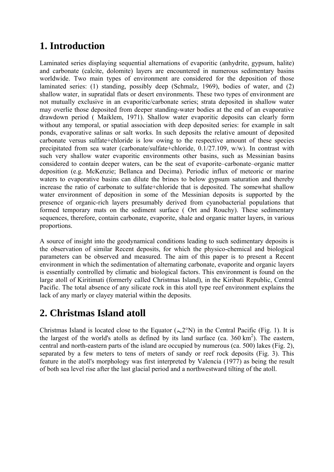## **1. Introduction**

Laminated series displaying sequential alternations of evaporitic (anhydrite, gypsum, halite) and carbonate (calcite, dolomite) layers are encountered in numerous sedimentary basins worldwide. Two main types of environment are considered for the deposition of those laminated series: (1) standing, possibly deep (Schmalz, 1969), bodies of water, and (2) shallow water, in supratidal flats or desert environments. These two types of environment are not mutually exclusive in an evaporitic/carbonate series; strata deposited in shallow water may overlie those deposited from deeper standing-water bodies at the end of an evaporative drawdown period ( Maiklem, 1971). Shallow water evaporitic deposits can clearly form without any temporal, or spatial association with deep deposited series: for example in salt ponds, evaporative salinas or salt works. In such deposits the relative amount of deposited carbonate versus sulfate+chloride is low owing to the respective amount of these species precipitated from sea water (carbonate/sulfate+chloride, 0.1/27.109, w/w). In contrast with such very shallow water evaporitic environments other basins, such as Messinian basins considered to contain deeper waters, can be the seat of evaporite–carbonate–organic matter deposition (e.g. McKenzie; Bellanca and Decima). Periodic influx of meteoric or marine waters to evaporative basins can dilute the brines to below gypsum saturation and thereby increase the ratio of carbonate to sulfate+chloride that is deposited. The somewhat shallow water environment of deposition in some of the Messinian deposits is supported by the presence of organic-rich layers presumably derived from cyanobacterial populations that formed temporary mats on the sediment surface ( Ort and Rouchy). These sedimentary sequences, therefore, contain carbonate, evaporite, shale and organic matter layers, in various proportions.

A source of insight into the geodynamical conditions leading to such sedimentary deposits is the observation of similar Recent deposits, for which the physico-chemical and biological parameters can be observed and measured. The aim of this paper is to present a Recent environment in which the sedimentation of alternating carbonate, evaporite and organic layers is essentially controlled by climatic and biological factors. This environment is found on the large atoll of Kiritimati (formerly called Christmas Island), in the Kiribati Republic, Central Pacific. The total absence of any silicate rock in this atoll type reef environment explains the lack of any marly or clayey material within the deposits.

# **2. Christmas Island atoll**

Christmas Island is located close to the Equator ( $\sim$ 2°N) in the Central Pacific (Fig. 1). It is the largest of the world's atolls as defined by its land surface (ca.  $360 \text{ km}^2$ ). The eastern, central and north-eastern parts of the island are occupied by numerous (ca. 500) lakes (Fig. 2), separated by a few meters to tens of meters of sandy or reef rock deposits (Fig. 3). This feature in the atoll's morphology was first interpreted by Valencia (1977) as being the result of both sea level rise after the last glacial period and a northwestward tilting of the atoll.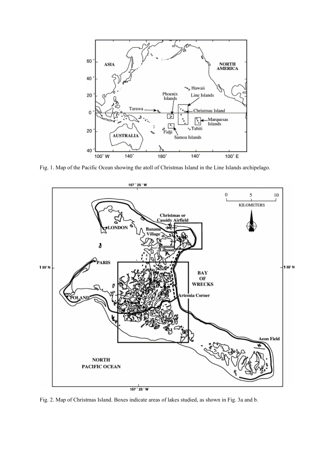

Fig. 1. Map of the Pacific Ocean showing the atoll of Christmas Island in the Line Islands archipelago.



Fig. 2. Map of Christmas Island. Boxes indicate areas of lakes studied, as shown in Fig. 3a and b.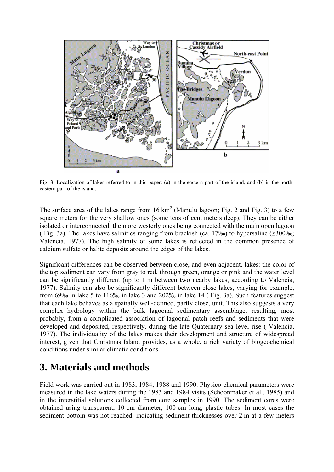

Fig. 3. Localization of lakes referred to in this paper: (a) in the eastern part of the island, and (b) in the northeastern part of the island.

The surface area of the lakes range from  $16 \text{ km}^2$  (Manulu lagoon; Fig. 2 and Fig. 3) to a few square meters for the very shallow ones (some tens of centimeters deep). They can be either isolated or interconnected, the more westerly ones being connected with the main open lagoon ( Fig. 3a). The lakes have salinities ranging from brackish (ca. 17‰) to hypersaline ( $\geq$ 300‰; Valencia, 1977). The high salinity of some lakes is reflected in the common presence of calcium sulfate or halite deposits around the edges of the lakes.

Significant differences can be observed between close, and even adjacent, lakes: the color of the top sediment can vary from gray to red, through green, orange or pink and the water level can be significantly different (up to 1 m between two nearby lakes, according to Valencia, 1977). Salinity can also be significantly different between close lakes, varying for example, from 69‰ in lake 5 to 116‰ in lake 3 and 202‰ in lake 14 ( Fig. 3a). Such features suggest that each lake behaves as a spatially well-defined, partly close, unit. This also suggests a very complex hydrology within the bulk lagoonal sedimentary assemblage, resulting, most probably, from a complicated association of lagoonal patch reefs and sediments that were developed and deposited, respectively, during the late Quaternary sea level rise ( Valencia, 1977). The individuality of the lakes makes their development and structure of widespread interest, given that Christmas Island provides, as a whole, a rich variety of biogeochemical conditions under similar climatic conditions.

## **3. Materials and methods**

Field work was carried out in 1983, 1984, 1988 and 1990. Physico-chemical parameters were measured in the lake waters during the 1983 and 1984 visits (Schoonmaker et al., 1985) and in the interstitial solutions collected from core samples in 1990. The sediment cores were obtained using transparent, 10-cm diameter, 100-cm long, plastic tubes. In most cases the sediment bottom was not reached, indicating sediment thicknesses over 2 m at a few meters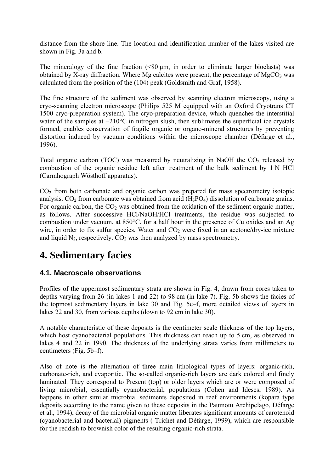distance from the shore line. The location and identification number of the lakes visited are shown in Fig. 3a and b.

The mineralogy of the fine fraction  $\ll 80 \mu m$ , in order to eliminate larger bioclasts) was obtained by X-ray diffraction. Where Mg calcites were present, the percentage of  $MgCO<sub>3</sub>$  was calculated from the position of the (104) peak (Goldsmith and Graf, 1958).

The fine structure of the sediment was observed by scanning electron microscopy, using a cryo-scanning electron microscope (Philips 525 M equipped with an Oxford Cryotrans CT 1500 cryo-preparation system). The cryo-preparation device, which quenches the interstitial water of the samples at −210°C in nitrogen slush, then sublimates the superficial ice crystals formed, enables conservation of fragile organic or organo-mineral structures by preventing distortion induced by vacuum conditions within the microscope chamber (Défarge et al., 1996).

Total organic carbon (TOC) was measured by neutralizing in NaOH the  $CO<sub>2</sub>$  released by combustion of the organic residue left after treatment of the bulk sediment by 1 N HCl (Carmhograph Wösthoff apparatus).

 $CO<sub>2</sub>$  from both carbonate and organic carbon was prepared for mass spectrometry isotopic analysis.  $CO<sub>2</sub>$  from carbonate was obtained from acid (H<sub>3</sub>PO<sub>4</sub>) dissolution of carbonate grains. For organic carbon, the  $CO<sub>2</sub>$  was obtained from the oxidation of the sediment organic matter, as follows. After successive HCl/NaOH/HCl treatments, the residue was subjected to combustion under vacuum, at 850°C, for a half hour in the presence of Cu oxides and an Ag wire, in order to fix sulfur species. Water and  $CO<sub>2</sub>$  were fixed in an acetone/dry-ice mixture and liquid  $N_2$ , respectively.  $CO_2$  was then analyzed by mass spectrometry.

# **4. Sedimentary facies**

#### **4.1. Macroscale observations**

Profiles of the uppermost sedimentary strata are shown in Fig. 4, drawn from cores taken to depths varying from 26 (in lakes 1 and 22) to 98 cm (in lake 7). Fig. 5b shows the facies of the topmost sedimentary layers in lake 30 and Fig. 5c–f, more detailed views of layers in lakes 22 and 30, from various depths (down to 92 cm in lake 30).

A notable characteristic of these deposits is the centimeter scale thickness of the top layers, which host cyanobacterial populations. This thickness can reach up to 5 cm, as observed in lakes 4 and 22 in 1990. The thickness of the underlying strata varies from millimeters to centimeters (Fig. 5b–f).

Also of note is the alternation of three main lithological types of layers: organic-rich, carbonate-rich, and evaporitic. The so-called organic-rich layers are dark colored and finely laminated. They correspond to Present (top) or older layers which are or were composed of living microbial, essentially cyanobacterial, populations (Cohen and Ideses, 1989). As happens in other similar microbial sediments deposited in reef environments (kopara type deposits according to the name given to these deposits in the Paumotu Archipelago, Défarge et al., 1994), decay of the microbial organic matter liberates significant amounts of carotenoid (cyanobacterial and bacterial) pigments ( Trichet and Défarge, 1999), which are responsible for the reddish to brownish color of the resulting organic-rich strata.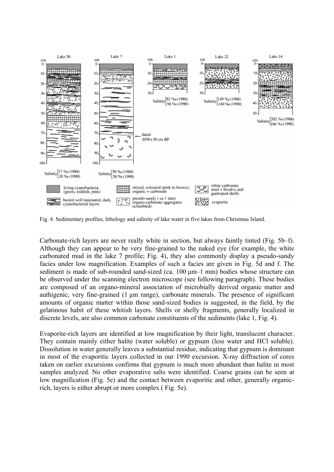

Fig. 4. Sedimentary profiles, lithology and salinity of lake water in five lakes from Christmas Island.

Carbonate-rich layers are never really white in section, but always faintly tinted (Fig. 5b–f). Although they can appear to be very fine-grained to the naked eye (for example, the white carbonated mud in the lake 7 profile; Fig. 4), they also commonly display a pseudo-sandy facies under low magnification. Examples of such a facies are given in Fig. 5d and f. The sediment is made of sub-rounded sand-sized (ca. 100 μm–1 mm) bodies whose structure can be observed under the scanning electron microscope (see following paragraph). These bodies are composed of an organo-mineral association of microbially derived organic matter and authigenic, very fine-grained (1 μm range), carbonate minerals. The presence of significant amounts of organic matter within those sand-sized bodies is suggested, in the field, by the gelatinous habit of these whitish layers. Shells or shelly fragments, generally localized in discrete levels, are also common carbonate constituents of the sediments (lake 1, Fig. 4).

Evaporite-rich layers are identified at low magnification by their light, translucent character. They contain mainly either halite (water soluble) or gypsum (less water and HCl soluble). Dissolution in water generally leaves a substantial residue, indicating that gypsum is dominant in most of the evaporitic layers collected in our 1990 excursion. X-ray diffraction of cores taken on earlier excursions confirms that gypsum is much more abundant than halite in most samples analyzed. No other evaporative salts were identified. Coarse grains can be seen at low magnification (Fig. 5e) and the contact between evaporitic and other, generally organicrich, layers is either abrupt or more complex ( Fig. 5e).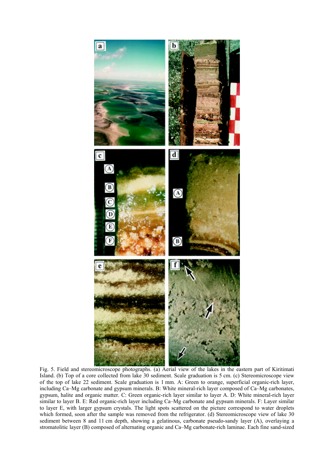

Fig. 5. Field and stereomicroscope photographs. (a) Aerial view of the lakes in the eastern part of Kiritimati Island. (b) Top of a core collected from lake 30 sediment. Scale graduation is 5 cm. (c) Stereomicroscope view of the top of lake 22 sediment. Scale graduation is 1 mm. A: Green to orange, superficial organic-rich layer, including Ca–Mg carbonate and gypsum minerals. B: White mineral-rich layer composed of Ca–Mg carbonates, gypsum, halite and organic matter. C: Green organic-rich layer similar to layer A. D: White mineral-rich layer similar to layer B. E: Red organic-rich layer including Ca–Mg carbonate and gypsum minerals. F: Layer similar to layer E, with larger gypsum crystals. The light spots scattered on the picture correspond to water droplets which formed, soon after the sample was removed from the refrigerator. (d) Stereomicroscope view of lake 30 sediment between 8 and 11 cm depth, showing a gelatinous, carbonate pseudo-sandy layer (A), overlaying a stromatolitic layer (B) composed of alternating organic and Ca–Mg carbonate-rich laminae. Each fine sand-sized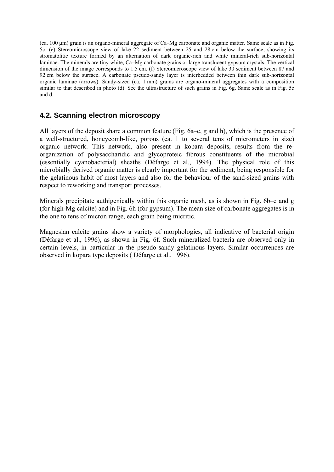(ca. 100 μm) grain is an organo-mineral aggregate of Ca–Mg carbonate and organic matter. Same scale as in Fig. 5c. (e) Stereomicroscope view of lake 22 sediment between 25 and 28 cm below the surface, showing its stromatolitic texture formed by an alternation of dark organic-rich and white mineral-rich sub-horizontal laminae. The minerals are tiny white, Ca–Mg carbonate grains or large translucent gypsum crystals. The vertical dimension of the image corresponds to 1.5 cm. (f) Stereomicroscope view of lake 30 sediment between 87 and 92 cm below the surface. A carbonate pseudo-sandy layer is interbedded between thin dark sub-horizontal organic laminae (arrows). Sandy-sized (ca. 1 mm) grains are organo-mineral aggregates with a composition similar to that described in photo (d). See the ultrastructure of such grains in Fig. 6g. Same scale as in Fig. 5c and d.

#### **4.2. Scanning electron microscopy**

All layers of the deposit share a common feature (Fig. 6a–e, g and h), which is the presence of a well-structured, honeycomb-like, porous (ca. 1 to several tens of micrometers in size) organic network. This network, also present in kopara deposits, results from the reorganization of polysaccharidic and glycoproteic fibrous constituents of the microbial (essentially cyanobacterial) sheaths (Défarge et al., 1994). The physical role of this microbially derived organic matter is clearly important for the sediment, being responsible for the gelatinous habit of most layers and also for the behaviour of the sand-sized grains with respect to reworking and transport processes.

Minerals precipitate authigenically within this organic mesh, as is shown in Fig. 6b–e and g (for high-Mg calcite) and in Fig. 6h (for gypsum). The mean size of carbonate aggregates is in the one to tens of micron range, each grain being micritic.

Magnesian calcite grains show a variety of morphologies, all indicative of bacterial origin (Défarge et al., 1996), as shown in Fig. 6f. Such mineralized bacteria are observed only in certain levels, in particular in the pseudo-sandy gelatinous layers. Similar occurrences are observed in kopara type deposits ( Défarge et al., 1996).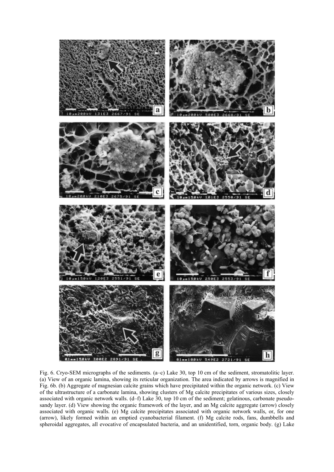

Fig. 6. Cryo-SEM micrographs of the sediments. (a–c) Lake 30, top 10 cm of the sediment, stromatolitic layer. (a) View of an organic lamina, showing its reticular organization. The area indicated by arrows is magnified in Fig. 6b. (b) Aggregate of magnesian calcite grains which have precipitated within the organic network. (c) View of the ultrastructure of a carbonate lamina, showing clusters of Mg calcite precipitates of various sizes, closely associated with organic network walls. (d–f) Lake 30, top 10 cm of the sediment; gelatinous, carbonate pseudosandy layer. (d) View showing the organic framework of the layer, and an Mg calcite aggregate (arrow) closely associated with organic walls. (e) Mg calcite precipitates associated with organic network walls, or, for one (arrow), likely formed within an emptied cyanobacterial filament. (f) Mg calcite rods, fans, dumbbells and spheroidal aggregates, all evocative of encapsulated bacteria, and an unidentified, torn, organic body. (g) Lake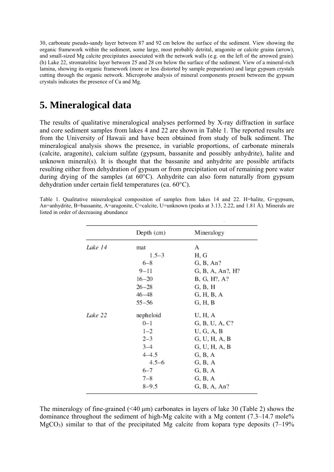30, carbonate pseudo-sandy layer between 87 and 92 cm below the surface of the sediment. View showing the organic framework within the sediment, some large, most probably detrital, aragonite or calcite grains (arrow), and small-sized Mg calcite precipitates associated with the network walls (e.g. on the left of the arrowed grain). (h) Lake 22, stromatolitic layer between 25 and 28 cm below the surface of the sediment. View of a mineral-rich lamina, showing its organic framework (more or less distorted by sample preparation) and large gypsum crystals cutting through the organic network. Microprobe analysis of mineral components present between the gypsum crystals indicates the presence of Ca and Mg.

### **5. Mineralogical data**

The results of qualitative mineralogical analyses performed by X-ray diffraction in surface and core sediment samples from lakes 4 and 22 are shown in Table 1. The reported results are from the University of Hawaii and have been obtained from study of bulk sediment. The mineralogical analysis shows the presence, in variable proportions, of carbonate minerals (calcite, aragonite), calcium sulfate (gypsum, bassanite and possibly anhydrite), halite and unknown mineral(s). It is thought that the bassanite and anhydrite are possible artifacts resulting either from dehydration of gypsum or from precipitation out of remaining pore water during drying of the samples (at 60°C). Anhydrite can also form naturally from gypsum dehydration under certain field temperatures (ca. 60°C).

Table 1. Qualitative mineralogical composition of samples from lakes 14 and 22. H=halite, G=gypsum, An=anhydrite, B=bassanite, A=aragonite, C=calcite, U=unknown (peaks at 3.13, 2.22, and 1.81 Å). Minerals are listed in order of decreasing abundance

|         | Depth (cm) | Mineralogy       |
|---------|------------|------------------|
| Lake 14 | mat        | А                |
|         | $1.5 - 3$  | H, G             |
|         | $6 - 8$    | G, B, An?        |
|         | $9 - 11$   | G, B, A, An?, H? |
|         | $16 - 20$  | B, G, H?, A?     |
|         | $26 - 28$  | G, B, H          |
|         | $46 - 48$  | G, H, B, A       |
|         | $55 - 56$  | G, H, B          |
| Lake 22 | nepheloid  | U, H, A          |
|         | $0 - 1$    | G, B, U, A, C?   |
|         | $1 - 2$    | U, G, A, B       |
|         | $2 - 3$    | G, U, H, A, B    |
|         | $3 - 4$    | G, U, H, A, B    |
|         | $4 - 4.5$  | G, B, A          |
|         | $4.5 - 6$  | G, B, A          |
|         | $6 - 7$    | G, B, A          |
|         | $7 - 8$    | G, B, A          |
|         | $8 - 9.5$  | G, B, A, An?     |

The mineralogy of fine-grained  $(\leq 40 \text{ }\mu\text{m})$  carbonates in layers of lake 30 (Table 2) shows the dominance throughout the sediment of high-Mg calcite with a Mg content (7.3–14.7 mole%  $MgCO<sub>3</sub>$ ) similar to that of the precipitated Mg calcite from kopara type deposits (7–19%)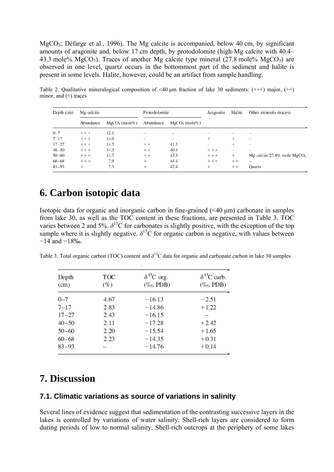MgCO3; Défarge et al., 1996). The Mg calcite is accompanied, below 40 cm, by significant amounts of aragonite and, below 17 cm depth, by protodolomite (high-Mg calcite with 40.4– 43.3 mole%  $MgCO<sub>3</sub>$ ). Traces of another Mg calcite type mineral (27.8 mole%  $MgCO<sub>3</sub>$ ) are observed in one level, quartz occurs in the bottommost part of the sediment and halite is present in some levels. Halite, however, could be an artifact from sample handling.

Table 2. Qualitative mineralogical composition of  $\leq 40$  µm fraction of lake 30 sediments: (+++) major, (++) minor, and  $(+)$  traces

| Depth $(cm)$ | Mg calcite |                 | Protodolomite |                                 | Aragonite | Halite | Other minerals (traces)                    |
|--------------|------------|-----------------|---------------|---------------------------------|-----------|--------|--------------------------------------------|
|              | Abundance  | $MgCO3$ (mole%) | Abundance     | $MgCO3$ (mole%)                 |           |        |                                            |
| $0 - 7$      | $+++$      | 12.1            |               |                                 |           |        |                                            |
| $7 - 17$     | $+++$      | 14.0            |               | $\hspace{0.1mm}-\hspace{0.1mm}$ | ÷         | ÷      |                                            |
| $17 - 27$    | $+++$      | 14.7            | $++$          | 41.3                            |           | ÷      |                                            |
| $40 - 50$    | $+++$      | 14.3            | $++$          | 40.4                            | $+++$     | —      | $\overline{\phantom{m}}$                   |
| $50 - 60$    | $+++$      | 11.7            | $++$          | 43.3                            | $++++$    | $^+$   | Mg calcite $27.8\%$ mole MgCO <sub>3</sub> |
| $60 - 68$    | $+++$      | 7.9             | $^{+}$        | 44.4                            | $+++$     | $++$   |                                            |
| $83 - 93$    | $^+$       | 7.3             | ÷             | 42.4                            | ÷         | $++$   | Ouartz                                     |

### **6. Carbon isotopic data**

Isotopic data for organic and inorganic carbon in fine-grained (<40 μm) carbonate in samples from lake 30, as well as the TOC content in these fractions, are presented in Table 3. TOC varies between 2 and 5%.  $\delta^{13}$ C for carbonates is slightly positive, with the exception of the top sample where it is slightly negative.  $\delta^{13}$ C for organic carbon is negative, with values between −14 and −18‰.

Table 3. Total organic carbon (TOC) content and *δ*13C data for organic and carbonate carbon in lake 30 samples

| Depth<br>(cm) | TOC<br>(%) | $\delta^{13}$ C org.<br>$(\%$ o, PDB) | $\delta^{13}$ C carb.<br>$(\%$ <sub>c</sub> , PDB) |
|---------------|------------|---------------------------------------|----------------------------------------------------|
| $0 - 7$       | 4.67       | $-16.13$                              | $-2.51$                                            |
| $7 - 17$      | 2.83       | $-14.86$                              | $+1.22$                                            |
| $17 - 27$     | 2.43       | $-16.15$                              |                                                    |
| $40 - 50$     | 2.11       | $-17.28$                              | $+2.42$                                            |
| $50 - 60$     | 2.20       | $-15.54$                              | $+1.65$                                            |
| $60 - 68$     | 2.23       | $-14.35$                              | $+0.31$                                            |
| $83 - 93$     |            | $-14.76$                              | $+0.14$                                            |

### **7. Discussion**

#### **7.1. Climatic variations as source of variations in salinity**

Several lines of evidence suggest that sedimentation of the contrasting successive layers in the lakes is controlled by variations of water salinity. Shell-rich layers are considered to form during periods of low to normal salinity. Shell-rich outcrops at the periphery of some lakes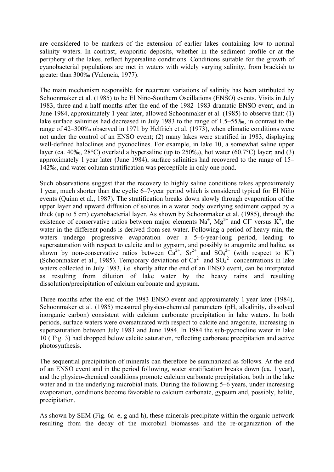are considered to be markers of the extension of earlier lakes containing low to normal salinity waters. In contrast, evaporitic deposits, whether in the sediment profile or at the periphery of the lakes, reflect hypersaline conditions. Conditions suitable for the growth of cyanobacterial populations are met in waters with widely varying salinity, from brackish to greater than 300‰ (Valencia, 1977).

The main mechanism responsible for recurrent variations of salinity has been attributed by Schoonmaker et al. (1985) to be El Niño-Southern Oscillations (ENSO) events. Visits in July 1983, three and a half months after the end of the 1982–1983 dramatic ENSO event, and in June 1984, approximately 1 year later, allowed Schoonmaker et al. (1985) to observe that: (1) lake surface salinities had decreased in July 1983 to the range of 1.5–55‰, in contrast to the range of 42–300‰ observed in 1971 by Helfrich et al. (1973), when climatic conditions were not under the control of an ENSO event; (2) many lakes were stratified in 1983, displaying well-defined haloclines and pycnoclines. For example, in lake 10, a somewhat saline upper layer (ca. 40‰, 28°C) overlaid a hypersaline (up to 250‰), hot water (60.7°C) layer; and (3) approximately 1 year later (June 1984), surface salinities had recovered to the range of 15– 142‰, and water column stratification was perceptible in only one pond.

Such observations suggest that the recovery to highly saline conditions takes approximately 1 year, much shorter than the cyclic 6–7-year period which is considered typical for El Niño events (Quinn et al., 1987). The stratification breaks down slowly through evaporation of the upper layer and upward diffusion of solutes in a water body overlying sediment capped by a thick (up to 5 cm) cyanobacterial layer. As shown by Schoonmaker et al. (1985), through the existence of conservative ratios between major elements  $Na^{+}$ ,  $Mg^{2+}$  and Cl<sup>−</sup> versus K<sup>+</sup>, the water in the different ponds is derived from sea water. Following a period of heavy rain, the waters undergo progressive evaporation over a 5–6-year-long period, leading to supersaturation with respect to calcite and to gypsum, and possibly to aragonite and halite, as shown by non-conservative ratios between  $Ca^{2+}$ ,  $Sr^{2+}$  and  $SO_4^{2-}$  (with respect to K<sup>+</sup>) (Schoonmaker et al., 1985). Temporary deviations of  $Ca^{2+}$  and  $SO_4^{2-}$  concentrations in lake waters collected in July 1983, i.e. shortly after the end of an ENSO event, can be interpreted as resulting from dilution of lake water by the heavy rains and resulting dissolution/precipitation of calcium carbonate and gypsum.

Three months after the end of the 1983 ENSO event and approximately 1 year later (1984), Schoonmaker et al. (1985) measured physico-chemical parameters (pH, alkalinity, dissolved inorganic carbon) consistent with calcium carbonate precipitation in lake waters. In both periods, surface waters were oversaturated with respect to calcite and aragonite, increasing in supersaturation between July 1983 and June 1984. In 1984 the sub-pycnocline water in lake 10 ( Fig. 3) had dropped below calcite saturation, reflecting carbonate precipitation and active photosynthesis.

The sequential precipitation of minerals can therefore be summarized as follows. At the end of an ENSO event and in the period following, water stratification breaks down (ca. 1 year), and the physico-chemical conditions promote calcium carbonate precipitation, both in the lake water and in the underlying microbial mats. During the following 5–6 years, under increasing evaporation, conditions become favorable to calcium carbonate, gypsum and, possibly, halite, precipitation.

As shown by SEM (Fig. 6a–e, g and h), these minerals precipitate within the organic network resulting from the decay of the microbial biomasses and the re-organization of the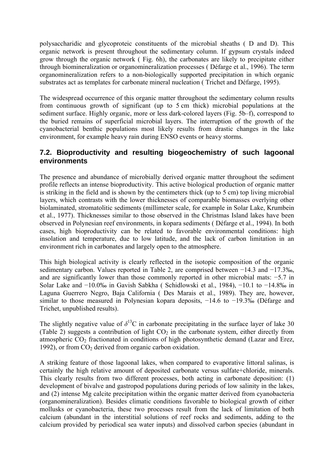polysaccharidic and glycoproteic constituents of the microbial sheaths ( D and D). This organic network is present throughout the sedimentary column. If gypsum crystals indeed grow through the organic network ( Fig. 6h), the carbonates are likely to precipitate either through biomineralization or organomineralization processes ( Défarge et al., 1996). The term organomineralization refers to a non-biologically supported precipitation in which organic substrates act as templates for carbonate mineral nucleation ( Trichet and Défarge, 1995).

The widespread occurrence of this organic matter throughout the sedimentary column results from continuous growth of significant (up to 5 cm thick) microbial populations at the sediment surface. Highly organic, more or less dark-colored layers (Fig. 5b–f), correspond to the buried remains of superficial microbial layers. The interruption of the growth of the cyanobacterial benthic populations most likely results from drastic changes in the lake environment, for example heavy rain during ENSO events or heavy storms.

#### **7.2. Bioproductivity and resulting biogeochemistry of such lagoonal environments**

The presence and abundance of microbially derived organic matter throughout the sediment profile reflects an intense bioproductivity. This active biological production of organic matter is striking in the field and is shown by the centimeters thick (up to 5 cm) top living microbial layers, which contrasts with the lower thicknesses of comparable biomasses overlying other biolaminated, stromatolitic sediments (millimeter scale, for example in Solar Lake, Krumbein et al., 1977). Thicknesses similar to those observed in the Christmas Island lakes have been observed in Polynesian reef environments, in kopara sediments ( Défarge et al., 1994). In both cases, high bioproductivity can be related to favorable environmental conditions: high insolation and temperature, due to low latitude, and the lack of carbon limitation in an environment rich in carbonates and largely open to the atmosphere.

This high biological activity is clearly reflected in the isotopic composition of the organic sedimentary carbon. Values reported in Table 2, are comprised between −14.3 and −17.3‰, and are significantly lower than those commonly reported in other microbial mats: −5.7 in Solar Lake and −10.0‰ in Gavish Sabkha ( Schidlowski et al., 1984), −10.1 to −14.8‰ in Laguna Guerrero Negro, Baja California ( Des Marais et al., 1989). They are, however, similar to those measured in Polynesian kopara deposits, -14.6 to -19.3‰ (Défarge and Trichet, unpublished results).

The slightly negative value of  $\delta^{13}$ C in carbonate precipitating in the surface layer of lake 30 (Table 2) suggests a contribution of light  $CO<sub>2</sub>$  in the carbonate system, either directly from atmospheric  $CO<sub>2</sub>$  fractionated in conditions of high photosynthetic demand (Lazar and Erez, 1992), or from  $CO<sub>2</sub>$  derived from organic carbon oxidation.

A striking feature of those lagoonal lakes, when compared to evaporative littoral salinas, is certainly the high relative amount of deposited carbonate versus sulfate+chloride, minerals. This clearly results from two different processes, both acting in carbonate deposition: (1) development of bivalve and gastropod populations during periods of low salinity in the lakes, and (2) intense Mg calcite precipitation within the organic matter derived from cyanobacteria (organomineralization). Besides climatic conditions favorable to biological growth of either mollusks or cyanobacteria, these two processes result from the lack of limitation of both calcium (abundant in the interstitial solutions of reef rocks and sediments, adding to the calcium provided by periodical sea water inputs) and dissolved carbon species (abundant in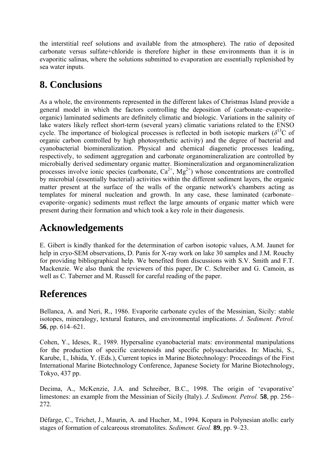the interstitial reef solutions and available from the atmosphere). The ratio of deposited carbonate versus sulfate+chloride is therefore higher in these environments than it is in evaporitic salinas, where the solutions submitted to evaporation are essentially replenished by sea water inputs.

# **8. Conclusions**

As a whole, the environments represented in the different lakes of Christmas Island provide a general model in which the factors controlling the deposition of (carbonate–evaporite– organic) laminated sediments are definitely climatic and biologic. Variations in the salinity of lake waters likely reflect short-term (several years) climatic variations related to the ENSO cycle. The importance of biological processes is reflected in both isotopic markers ( $\delta^{13}$ C of organic carbon controlled by high photosynthetic activity) and the degree of bacterial and cyanobacterial biomineralization. Physical and chemical diagenetic processes leading, respectively, to sediment aggregation and carbonate organomineralization are controlled by microbially derived sedimentary organic matter. Biomineralization and organomineralization processes involve ionic species (carbonate,  $Ca^{2+}$ ,  $Mg^{2+}$ ) whose concentrations are controlled by microbial (essentially bacterial) activities within the different sediment layers, the organic matter present at the surface of the walls of the organic network's chambers acting as templates for mineral nucleation and growth. In any case, these laminated (carbonate– evaporite–organic) sediments must reflect the large amounts of organic matter which were present during their formation and which took a key role in their diagenesis.

# **Acknowledgements**

E. Gibert is kindly thanked for the determination of carbon isotopic values, A.M. Jaunet for help in cryo-SEM observations, D. Panis for X-ray work on lake 30 samples and J.M. Rouchy for providing bibliographical help. We benefited from discussions with S.V. Smith and F.T. Mackenzie. We also thank the reviewers of this paper, Dr C. Schreiber and G. Camoin, as well as C. Taberner and M. Russell for careful reading of the paper.

# **References**

Bellanca, A. and Neri, R., 1986. Evaporite carbonate cycles of the Messinian, Sicily: stable isotopes, mineralogy, textural features, and environmental implications. *J. Sediment. Petrol.* **56**, pp. 614–621.

Cohen, Y., Ideses, R., 1989. Hypersaline cyanobacterial mats: environmental manipulations for the production of specific carotenoids and specific polysaccharides. In: Miachi, S., Karube, I., Ishida, Y. (Eds.), Current topics in Marine Biotechnology: Proceedings of the First International Marine Biotechnology Conference, Japanese Society for Marine Biotechnology, Tokyo, 437 pp.

Decima, A., McKenzie, J.A. and Schreiber, B.C., 1998. The origin of 'evaporative' limestones: an example from the Messinian of Sicily (Italy). *J. Sediment. Petrol.* **58**, pp. 256– 272.

Défarge, C., Trichet, J., Maurin, A. and Hucher, M., 1994. Kopara in Polynesian atolls: early stages of formation of calcareous stromatolites. *Sediment. Geol.* **89**, pp. 9–23.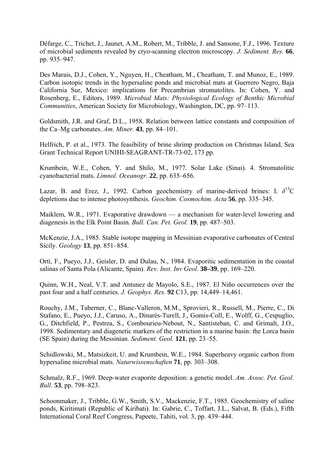Défarge, C., Trichet, J., Jaunet, A.M., Robert, M., Tribble, J. and Sansone, F.J., 1996. Texture of microbial sediments revealed by cryo-scanning electron microscopy. *J. Sediment. Res.* **66**, pp. 935–947.

Des Marais, D.J., Cohen, Y., Nguyen, H., Cheatham, M., Cheatham, T. and Munoz, E., 1989. Carbon isotopic trends in the hypersaline ponds and microbial mats at Guerrero Negro, Baja California Sur, Mexico: implications for Precambrian stromatolites. In: Cohen, Y. and Rosenberg, E., Editors, 1989. *Microbial Mats: Physiological Ecology of Benthic Microbial Communities*, American Society for Microbiology, Washington, DC, pp. 97–113.

Goldsmith, J.R. and Graf, D.L., 1958. Relation between lattice constants and composition of the Ca–Mg carbonates. *Am. Miner.* **43**, pp. 84–101.

Helfrich, P. et al., 1973. The feasibility of brine shrimp production on Christmas Island. Sea Grant Technical Report UNIHI-SEAGRANT-TR-73-02, 173 pp.

Krumbein, W.E., Cohen, Y. and Shilo, M., 1977. Solar Lake (Sinai). 4. Stromatolitic cyanobacterial mats. *Limnol. Oceanogr.* **22**, pp. 635–656.

Lazar, B. and Erez, J., 1992. Carbon geochemistry of marine-derived brines: I.  $\delta^{13}$ C depletions due to intense photosynthesis. *Geochim. Cosmochim. Acta* **56**, pp. 335–345.

Maiklem, W.R., 1971. Evaporative drawdown — a mechanism for water-level lowering and diagenesis in the Elk Point Basin. *Bull. Can. Pet. Geol.* **19**, pp. 487–503.

McKenzie, J.A., 1985. Stable isotope mapping in Messinian evaporative carbonates of Central Sicily. *Geology* **13**, pp. 851–854.

Ortí, F., Pueyo, J.J., Geisler, D. and Dulau, N., 1984. Evaporitic sedimentation in the coastal salinas of Santa Pola (Alicante, Spain). *Rev. Inst. Inv Geol.* **38–39**, pp. 169–220.

Quinn, W.H., Neal, V.T. and Antunez de Mayolo, S.E., 1987. El Niño occurrences over the past four and a half centuries. *J. Geophys. Res.* **92** C13, pp. 14,449–14,461.

Rouchy, J.M., Taberner, C., Blanc-Valleron, M.M., Sprovieri, R., Russell, M., Pierre, C., Di Stafano, E., Pueyo, J.J., Caruso, A., Dinarès-Turell, J., Gomis-Coll, E., Wolff, G., Cespuglio, G., Ditchfield, P., Pestrea, S., Combourieu-Nebout, N., Santisteban, C. and Grimalt, J.O., 1998. Sedimentary and diagenetic markers of the restriction in a marine basin: the Lorca basin (SE Spain) during the Messinian. *Sediment. Geol.* **121**, pp. 23–55.

Schidlowski, M., Matsizkeit, U. and Krumbein, W.E., 1984. Superheavy organic carbon from hypersaline microbial mats. *Naturwissenschaften* **71**, pp. 303–308.

Schmalz, R.F., 1969. Deep-water evaporite deposition: a genetic model. *Am. Assoc. Pet. Geol. Bull.* **53**, pp. 798–823.

Schoonmaker, J., Tribble, G.W., Smith, S.V., Mackenzie, F.T., 1985. Geochemistry of saline ponds, Kiritimati (Republic of Kiribati). In: Gabrie, C., Toffart, J.L., Salvat, B. (Eds.), Fifth International Coral Reef Congress, Papeete, Tahiti, vol. 3, pp. 439–444.